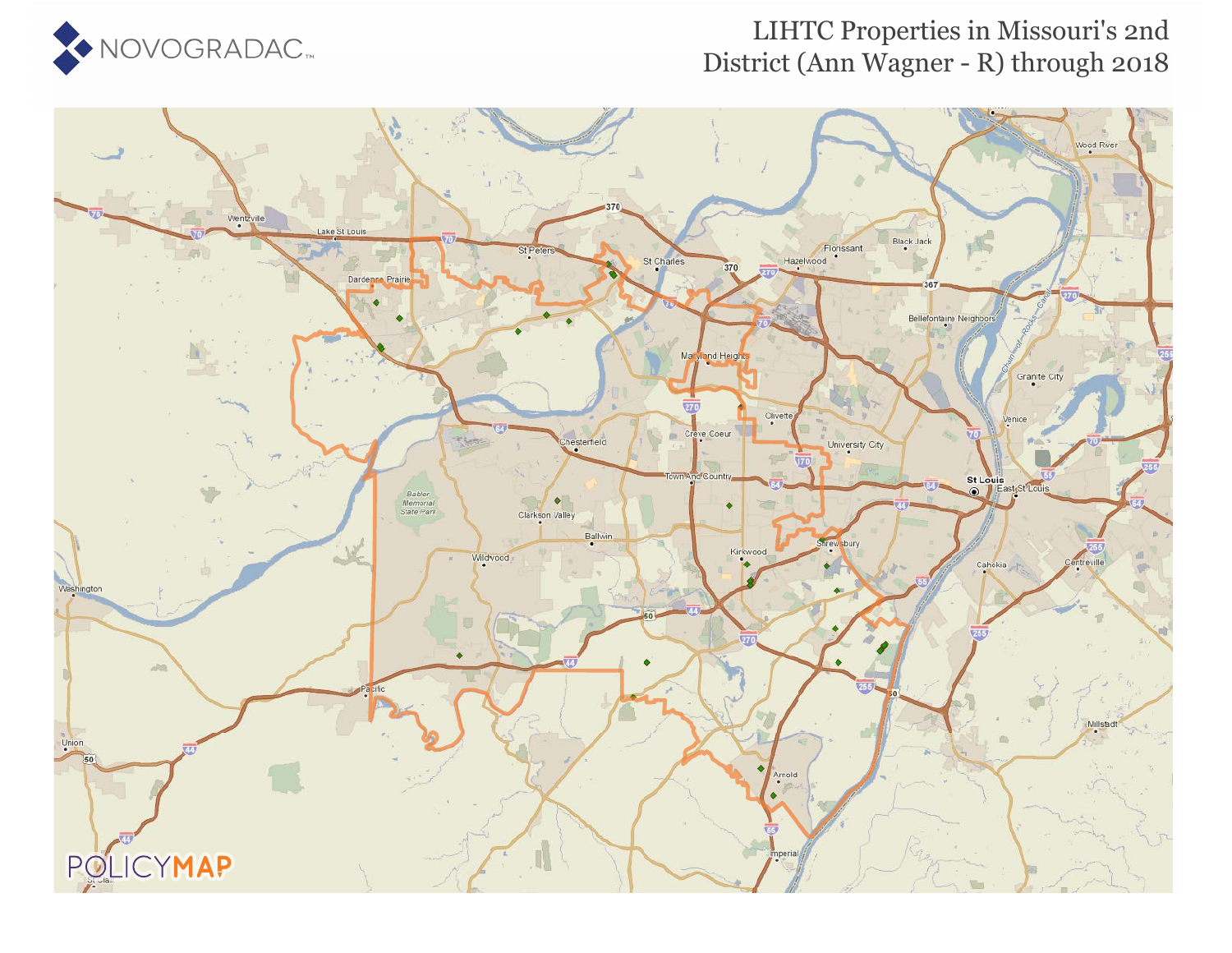

#### LIHTC Properties in Missouri's 2nd District (Ann Wagner - R) through 2018

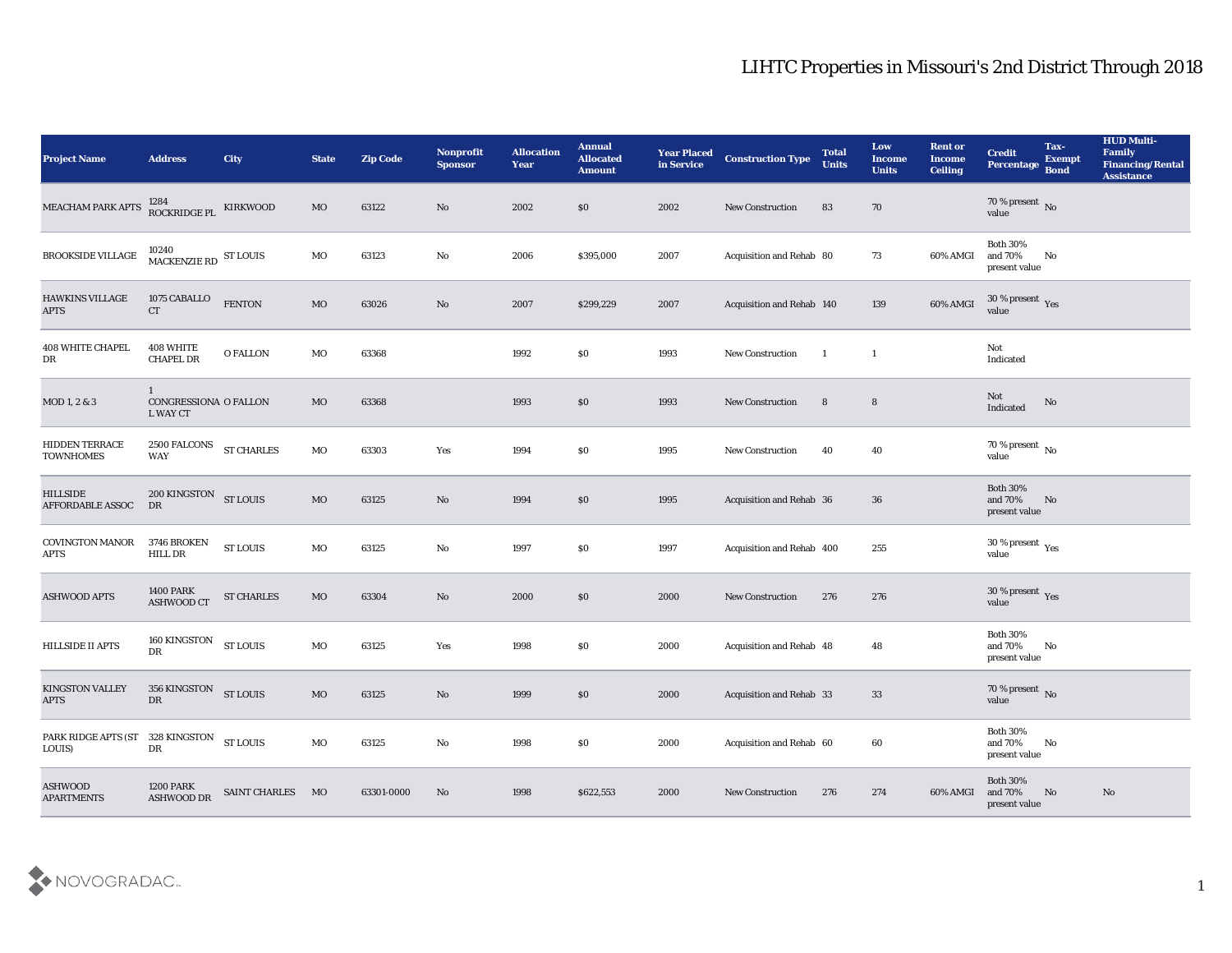| <b>Project Name</b>                        | <b>Address</b>                                    | City              | <b>State</b> | <b>Zip Code</b> | Nonprofit<br><b>Sponsor</b> | <b>Allocation</b><br><b>Year</b> | <b>Annual</b><br><b>Allocated</b><br><b>Amount</b> | <b>Year Placed</b><br>in Service | <b>Construction Type</b>        | <b>Total</b><br><b>Units</b> | Low<br><b>Income</b><br><b>Units</b> | <b>Rent or</b><br><b>Income</b><br><b>Ceiling</b> | <b>Credit</b><br>Percentage                         | Tax-<br><b>Exempt</b><br><b>Bond</b> | <b>HUD Multi-</b><br>Family<br><b>Financing/Rental</b><br><b>Assistance</b> |
|--------------------------------------------|---------------------------------------------------|-------------------|--------------|-----------------|-----------------------------|----------------------------------|----------------------------------------------------|----------------------------------|---------------------------------|------------------------------|--------------------------------------|---------------------------------------------------|-----------------------------------------------------|--------------------------------------|-----------------------------------------------------------------------------|
| MEACHAM PARK APTS                          | 1284<br>ROCKRIDGE PL KIRKWOOD                     |                   | MO           | 63122           | No                          | 2002                             | \$0                                                | 2002                             | <b>New Construction</b>         | 83                           | 70                                   |                                                   | $70$ % present $_{\rm{No}}$ $_{\rm{value}}$         |                                      |                                                                             |
| ${\tt BROOKSIDE}$ VILLAGE                  | $10240 \over \text{MACKENZIE RD}$ ST LOUIS        |                   | MO           | 63123           | No                          | 2006                             | \$395,000                                          | 2007                             | Acquisition and Rehab 80        |                              | 73                                   | 60% AMGI                                          | <b>Both 30%</b><br>and 70%<br>present value         | No                                   |                                                                             |
| <b>HAWKINS VILLAGE</b><br><b>APTS</b>      | 1075 CABALLO<br><b>CT</b>                         | <b>FENTON</b>     | MO           | 63026           | No                          | 2007                             | \$299,229                                          | 2007                             | Acquisition and Rehab 140       |                              | 139                                  | 60% AMGI                                          | $30\,\%$ present $\,$ Yes value                     |                                      |                                                                             |
| <b>408 WHITE CHAPEL</b><br>DR              | 408 WHITE<br><b>CHAPEL DR</b>                     | <b>O FALLON</b>   | MO           | 63368           |                             | 1992                             | \$0                                                | 1993                             | New Construction                | $\overline{1}$               | $\mathbf{1}$                         |                                                   | Not<br>Indicated                                    |                                      |                                                                             |
| MOD 1, 2 & 3                               | $\mathbf{1}$<br>CONGRESSIONA O FALLON<br>L WAY CT |                   | MO           | 63368           |                             | 1993                             | $\boldsymbol{\mathsf{S}}\boldsymbol{\mathsf{O}}$   | 1993                             | <b>New Construction</b>         | 8                            | 8                                    |                                                   | Not<br>Indicated                                    | No                                   |                                                                             |
| <b>HIDDEN TERRACE</b><br><b>TOWNHOMES</b>  | 2500 FALCONS<br><b>WAY</b>                        | <b>ST CHARLES</b> | MO           | 63303           | Yes                         | 1994                             | \$0                                                | 1995                             | New Construction                | 40                           | 40                                   |                                                   | $70\,\%$ present $\,$ No value                      |                                      |                                                                             |
| <b>HILLSIDE</b><br><b>AFFORDABLE ASSOC</b> | 200 KINGSTON ST LOUIS<br>DR                       |                   | MO           | 63125           | No                          | 1994                             | $\$0$                                              | 1995                             | Acquisition and Rehab 36        |                              | 36                                   |                                                   | <b>Both 30%</b><br>and 70%<br>present value         | No                                   |                                                                             |
| <b>COVINGTON MANOR</b><br><b>APTS</b>      | 3746 BROKEN<br><b>HILL DR</b>                     | <b>ST LOUIS</b>   | MO           | 63125           | $\mathbf{N}\mathbf{o}$      | 1997                             | \$0                                                | 1997                             | Acquisition and Rehab 400       |                              | 255                                  |                                                   | $30\,\%$ present $\,$ Yes value                     |                                      |                                                                             |
| <b>ASHWOOD APTS</b>                        | <b>1400 PARK</b><br><b>ASHWOOD CT</b>             | <b>ST CHARLES</b> | MO           | 63304           | $\mathbf{N}\mathbf{o}$      | 2000                             | \$0                                                | 2000                             | New Construction                | 276                          | 276                                  |                                                   | $30\,\%$ present $\,$ Yes value                     |                                      |                                                                             |
| <b>HILLSIDE II APTS</b>                    | 160 KINGSTON<br>DR                                | <b>ST LOUIS</b>   | MO           | 63125           | Yes                         | 1998                             | \$0                                                | 2000                             | Acquisition and Rehab 48        |                              | 48                                   |                                                   | <b>Both 30%</b><br>and 70%<br>present value         | No                                   |                                                                             |
| <b>KINGSTON VALLEY</b><br><b>APTS</b>      | 356 KINGSTON ST LOUIS<br>DR                       |                   | MO           | 63125           | No                          | 1999                             | \$0                                                | 2000                             | <b>Acquisition and Rehab 33</b> |                              | 33                                   |                                                   | $70\,\%$ present $\,$ No value                      |                                      |                                                                             |
| PARK RIDGE APTS (ST<br>LOUIS)              | 328 KINGSTON<br>DR                                | <b>ST LOUIS</b>   | $_{\rm MO}$  | 63125           | $\rm\thinspace No$          | 1998                             | \$0                                                | 2000                             | Acquisition and Rehab 60        |                              | 60                                   |                                                   | <b>Both 30%</b><br>and $70\%$<br>$\,$ present value | $\mathbf{N}\mathbf{o}$               |                                                                             |
| <b>ASHWOOD</b><br><b>APARTMENTS</b>        | <b>1200 PARK</b><br>ASHWOOD DR                    | SAINT CHARLES MO  |              | 63301-0000      | $\mathbf{N}\mathbf{o}$      | 1998                             | \$622,553                                          | 2000                             | <b>New Construction</b>         | 276                          | 274                                  | 60% AMGI                                          | <b>Both 30%</b><br>and 70%<br>present value         | N <sub>o</sub>                       | $\mathbf{N}\mathbf{o}$                                                      |

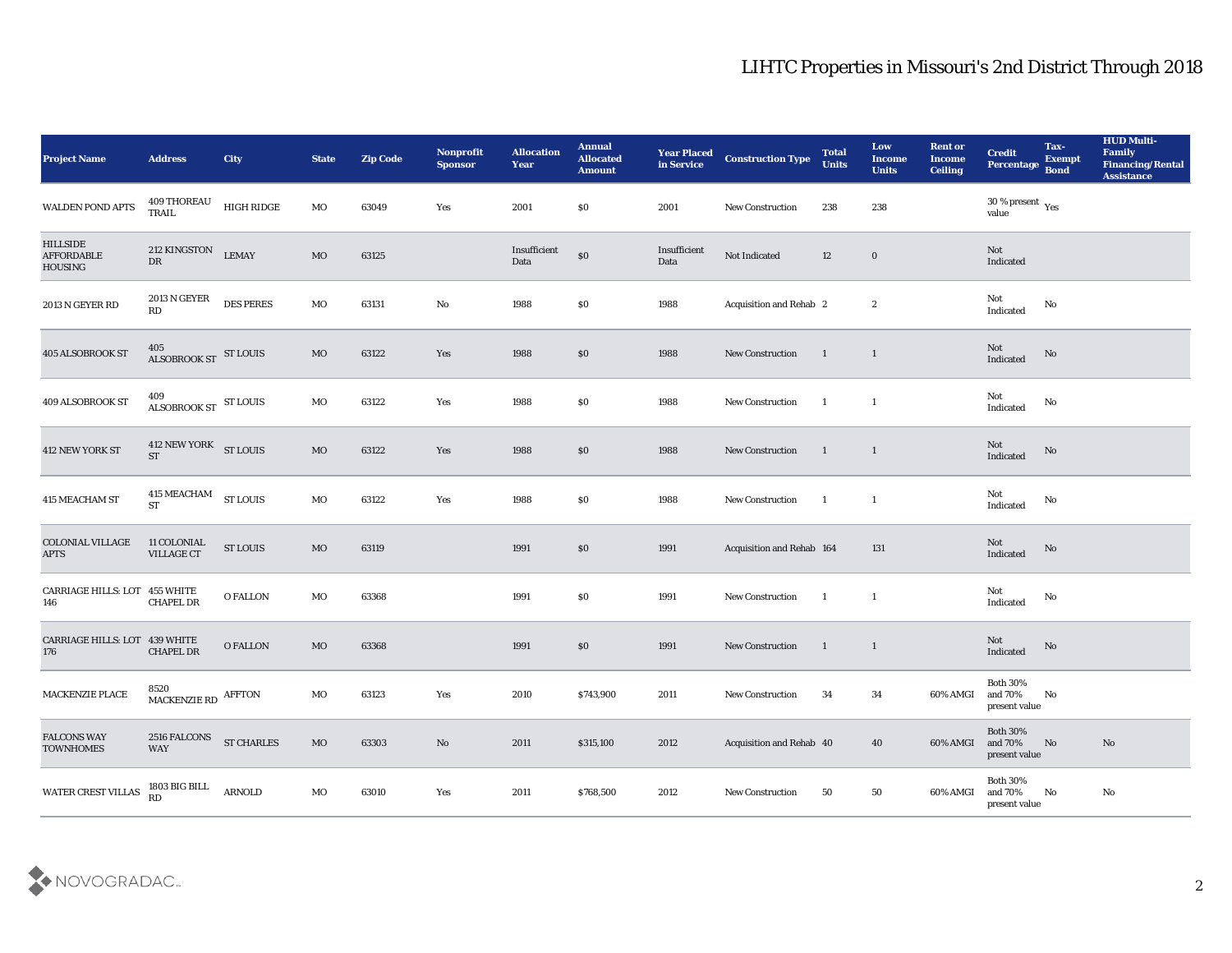| <b>Project Name</b>                                    | <b>Address</b>                               | City              | <b>State</b> | <b>Zip Code</b> | Nonprofit<br><b>Sponsor</b> | <b>Allocation</b><br><b>Year</b> | <b>Annual</b><br><b>Allocated</b><br><b>Amount</b> | Year Placed<br>in Service | <b>Construction Type</b>  | <b>Total</b><br><b>Units</b> | Low<br><b>Income</b><br><b>Units</b> | <b>Rent or</b><br><b>Income</b><br><b>Ceiling</b> | <b>Credit</b><br>Percentage Bond            | Tax-<br><b>Exempt</b>  | <b>HUD Multi-</b><br>Family<br><b>Financing/Rental</b><br><b>Assistance</b> |
|--------------------------------------------------------|----------------------------------------------|-------------------|--------------|-----------------|-----------------------------|----------------------------------|----------------------------------------------------|---------------------------|---------------------------|------------------------------|--------------------------------------|---------------------------------------------------|---------------------------------------------|------------------------|-----------------------------------------------------------------------------|
| <b>WALDEN POND APTS</b>                                | 409 THOREAU<br>TRAIL                         | HIGH RIDGE        | MO           | 63049           | Yes                         | 2001                             | \$0                                                | 2001                      | <b>New Construction</b>   | 238                          | 238                                  |                                                   | $30\,\%$ present $\,$ Yes value             |                        |                                                                             |
| <b>HILLSIDE</b><br><b>AFFORDABLE</b><br><b>HOUSING</b> | 212 KINGSTON<br>$\mathbf{D}\mathbf{R}$       | <b>LEMAY</b>      | MO           | 63125           |                             | Insufficient<br>Data             | $\$0$                                              | Insufficient<br>Data      | Not Indicated             | 12                           | $\bf{0}$                             |                                                   | Not<br>Indicated                            |                        |                                                                             |
| 2013 N GEYER RD                                        | <b>2013 N GEYER</b><br>RD                    | <b>DES PERES</b>  | MO           | 63131           | $\mathbf{N}\mathbf{o}$      | 1988                             | \$0                                                | 1988                      | Acquisition and Rehab 2   |                              | $\mathbf{2}$                         |                                                   | Not<br>Indicated                            | No                     |                                                                             |
| 405 ALSOBROOK ST                                       | 405<br>ALSOBROOK ST ST LOUIS                 |                   | MO           | 63122           | Yes                         | 1988                             | \$0                                                | 1988                      | <b>New Construction</b>   | $\blacksquare$               | $\mathbf{1}$                         |                                                   | Not<br>Indicated                            | $\mathbf {No}$         |                                                                             |
| 409 ALSOBROOK ST                                       | ALSOBROOK ST ST LOUIS                        |                   | MO           | 63122           | Yes                         | 1988                             | \$0                                                | 1988                      | <b>New Construction</b>   | $\blacksquare$               | $\mathbf{1}$                         |                                                   | Not<br>Indicated                            | No                     |                                                                             |
| 412 NEW YORK ST                                        | 412 NEW YORK ST LOUIS<br>$\operatorname{ST}$ |                   | <b>MO</b>    | 63122           | Yes                         | 1988                             | $\$0$                                              | 1988                      | <b>New Construction</b>   | $\overline{\phantom{0}}$     | $\overline{1}$                       |                                                   | Not<br>Indicated                            | No                     |                                                                             |
| 415 MEACHAM ST                                         | <b>415 MEACHAM</b><br><b>ST</b>              | <b>ST LOUIS</b>   | MO           | 63122           | Yes                         | 1988                             | \$0                                                | 1988                      | <b>New Construction</b>   | $\overline{\mathbf{1}}$      | $\mathbf{1}$                         |                                                   | Not<br>Indicated                            | No                     |                                                                             |
| <b>COLONIAL VILLAGE</b><br><b>APTS</b>                 | 11 COLONIAL<br><b>VILLAGE CT</b>             | <b>ST LOUIS</b>   | MO           | 63119           |                             | 1991                             | \$0                                                | 1991                      | Acquisition and Rehab 164 |                              | 131                                  |                                                   | Not<br>Indicated                            | No                     |                                                                             |
| CARRIAGE HILLS: LOT 455 WHITE<br>146                   | <b>CHAPEL DR</b>                             | <b>O FALLON</b>   | MO           | 63368           |                             | 1991                             | \$0                                                | 1991                      | New Construction          | $\blacksquare$               | <sup>1</sup>                         |                                                   | Not<br>Indicated                            | No                     |                                                                             |
| CARRIAGE HILLS: LOT 439 WHITE<br>176                   | <b>CHAPEL DR</b>                             | <b>O FALLON</b>   | MO           | 63368           |                             | 1991                             | \$0                                                | 1991                      | New Construction          | $\overline{1}$               | $\mathbf{1}$                         |                                                   | Not<br>Indicated                            | No                     |                                                                             |
| <b>MACKENZIE PLACE</b>                                 | 8520<br>MACKENZIE RD AFFTON                  |                   | MO           | 63123           | Yes                         | 2010                             | \$743,900                                          | 2011                      | <b>New Construction</b>   | 34                           | 34                                   | 60% AMGI and 70%                                  | <b>Both 30%</b><br>$\,$ present value       | No                     |                                                                             |
| <b>FALCONS WAY</b><br><b>TOWNHOMES</b>                 | 2516 FALCONS<br>WAY                          | <b>ST CHARLES</b> | $_{\rm MO}$  | 63303           | $\rm\thinspace No$          | 2011                             | \$315,100                                          | 2012                      | Acquisition and Rehab 40  |                              | 40                                   | 60% AMGI                                          | <b>Both 30%</b><br>and 70%<br>present value | $\mathbf{N}\mathbf{o}$ | No                                                                          |
| WATER CREST VILLAS                                     | 1803 BIG BILL<br>RD                          | <b>ARNOLD</b>     | MO           | 63010           | Yes                         | 2011                             | \$768,500                                          | 2012                      | <b>New Construction</b>   | 50                           | 50                                   | 60% AMGI                                          | Both $30\%$<br>and $70\%$<br>present value  | $\rm No$               | $\rm\, No$                                                                  |

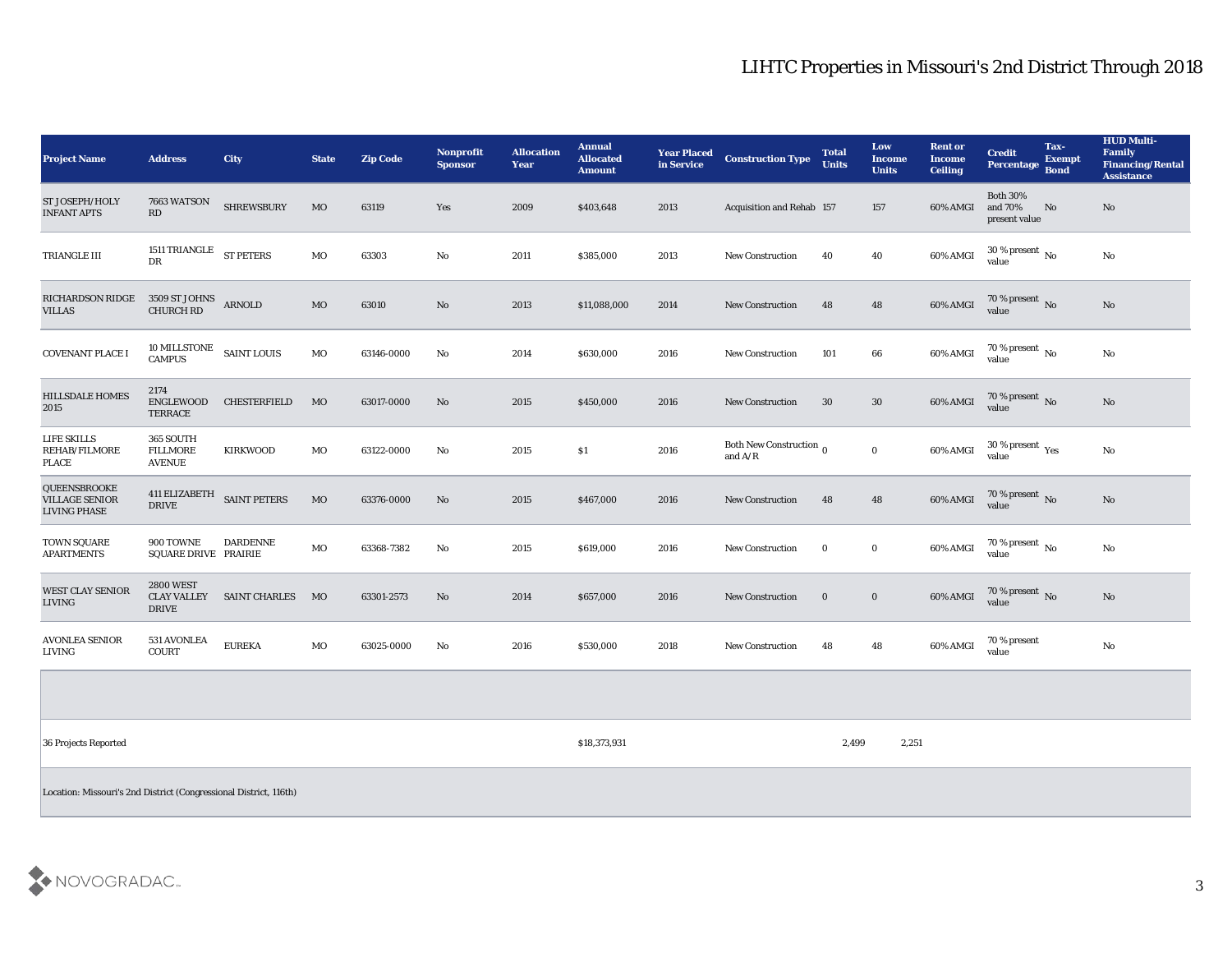| <b>Project Name</b>                                          | <b>Address</b>                                         | <b>City</b>                | <b>State</b> | <b>Zip Code</b> | <b>Nonprofit</b><br><b>Sponsor</b> | <b>Allocation</b><br>Year | <b>Annual</b><br><b>Allocated</b><br><b>Amount</b> | <b>Year Placed</b><br>in Service | <b>Construction Type</b>                | <b>Total</b><br><b>Units</b> | Low<br><b>Income</b><br><b>Units</b> | <b>Rent or</b><br><b>Income</b><br><b>Ceiling</b> | <b>Credit</b><br>Percentage Bond            | Tax-<br><b>Exempt</b> | <b>HUD Multi-</b><br>Family<br><b>Financing/Rental</b><br><b>Assistance</b> |
|--------------------------------------------------------------|--------------------------------------------------------|----------------------------|--------------|-----------------|------------------------------------|---------------------------|----------------------------------------------------|----------------------------------|-----------------------------------------|------------------------------|--------------------------------------|---------------------------------------------------|---------------------------------------------|-----------------------|-----------------------------------------------------------------------------|
| ST JOSEPH/HOLY<br><b>INFANT APTS</b>                         | 7663 WATSON<br>RD                                      | <b>SHREWSBURY</b>          | MO           | 63119           | Yes                                | 2009                      | \$403,648                                          | 2013                             | Acquisition and Rehab 157               |                              | 157                                  | 60% AMGI                                          | <b>Both 30%</b><br>and 70%<br>present value | No                    | No                                                                          |
| TRIANGLE III                                                 | 1511 TRIANGLE ST PETERS<br>DR                          |                            | MO           | 63303           | No                                 | 2011                      | \$385,000                                          | 2013                             | <b>New Construction</b>                 | 40                           | 40                                   | 60% AMGI                                          | 30 % present $\,$ No $\,$<br>value          |                       | No                                                                          |
| RICHARDSON RIDGE<br><b>VILLAS</b>                            | 3509 ST JOHNS ARNOLD<br><b>CHURCH RD</b>               |                            | MO           | 63010           | No                                 | 2013                      | \$11,088,000                                       | 2014                             | <b>New Construction</b>                 | 48                           | 48                                   | 60% AMGI                                          | 70 % present No<br>value                    |                       | No                                                                          |
| <b>COVENANT PLACE I</b>                                      | $10$ MILLSTONE $\quad$ SAINT LOUIS<br><b>CAMPUS</b>    |                            | MO           | 63146-0000      | No                                 | 2014                      | \$630,000                                          | 2016                             | New Construction                        | 101                          | ${\bf 66}$                           | 60% AMGI                                          | 70 % present $\overline{N_0}$<br>value      |                       | No                                                                          |
| <b>HILLSDALE HOMES</b><br>2015                               | 2174<br>ENGLEWOOD<br><b>TERRACE</b>                    | <b>CHESTERFIELD</b>        | MO           | 63017-0000      | No                                 | 2015                      | \$450,000                                          | 2016                             | <b>New Construction</b>                 | 30                           | 30                                   | 60% AMGI                                          | $70\,\%$ present $\,$ No value              |                       | No                                                                          |
| LIFE SKILLS<br>REHAB/FILMORE<br><b>PLACE</b>                 | 365 SOUTH<br><b>FILLMORE</b><br><b>AVENUE</b>          | <b>KIRKWOOD</b>            | MO           | 63122-0000      | $\mathbf{N}\mathbf{o}$             | 2015                      | S <sub>1</sub>                                     | 2016                             | Both New Construction $_0$<br>and $A/R$ |                              | $\bf{0}$                             | 60% AMGI                                          | 30 % present $\gamma_{\rm e s}$<br>value    |                       | No                                                                          |
| QUEENSBROOKE<br><b>VILLAGE SENIOR</b><br><b>LIVING PHASE</b> | <b>DRIVE</b>                                           | 411 ELIZABETH SAINT PETERS | MO           | 63376-0000      | No                                 | 2015                      | \$467,000                                          | 2016                             | New Construction                        | 48                           | 48                                   | 60% AMGI                                          | 70 % present No<br>value                    |                       | No                                                                          |
| <b>TOWN SQUARE</b><br><b>APARTMENTS</b>                      | 900 TOWNE<br>SQUARE DRIVE PRAIRIE                      | <b>DARDENNE</b>            | MO           | 63368-7382      | No                                 | 2015                      | \$619,000                                          | 2016                             | <b>New Construction</b>                 | $\bf{0}$                     | $\bf{0}$                             | 60% AMGI                                          | 70 % present $\,$ No $\,$<br>value          |                       | No                                                                          |
| <b>WEST CLAY SENIOR</b><br><b>LIVING</b>                     | <b>2800 WEST</b><br><b>CLAY VALLEY</b><br><b>DRIVE</b> | <b>SAINT CHARLES</b>       | MO           | 63301-2573      | No                                 | 2014                      | \$657,000                                          | 2016                             | <b>New Construction</b>                 | $\bf{0}$                     | $\bf{0}$                             | 60% AMGI                                          | $70$ % present $${\rm No}$$ value           |                       | $\mathbf{N}\mathbf{o}$                                                      |
| <b>AVONLEA SENIOR</b><br>LIVING                              | 531 AVONLEA<br><b>COURT</b>                            | <b>EUREKA</b>              | MO           | 63025-0000      | No                                 | 2016                      | \$530,000                                          | 2018                             | <b>New Construction</b>                 | 48                           | 48                                   | 60% AMGI                                          | 70 % present<br>value                       |                       | $\mathbf{N}\mathbf{o}$                                                      |
|                                                              |                                                        |                            |              |                 |                                    |                           |                                                    |                                  |                                         |                              |                                      |                                                   |                                             |                       |                                                                             |
| 36 Projects Reported                                         |                                                        |                            |              |                 |                                    |                           | \$18,373,931                                       |                                  |                                         | 2,499                        | 2,251                                |                                                   |                                             |                       |                                                                             |

Location: Missouri's 2nd District (Congressional District, 116th)